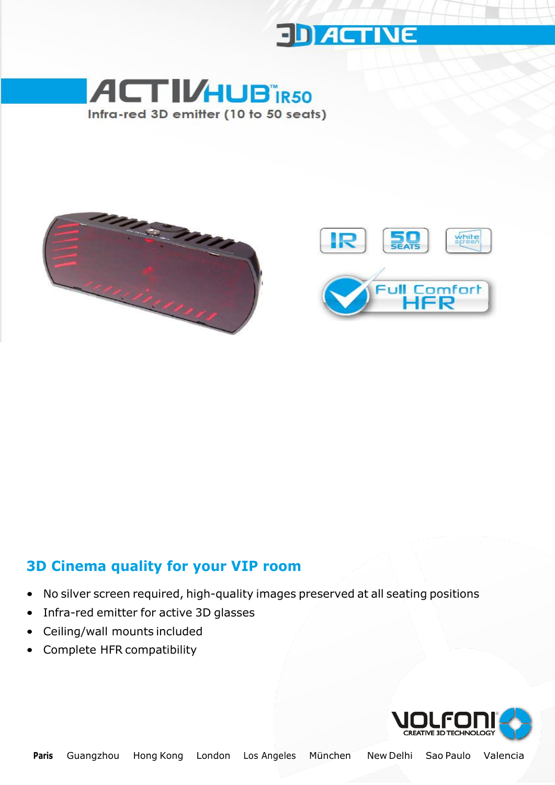





#### **3D Cinema quality for your VIP room**

- No silver screen required, high-quality images preserved at all seating positions
- Infra-red emitter for active 3D glasses
- Ceiling/wall mounts included
- Complete HFR compatibility

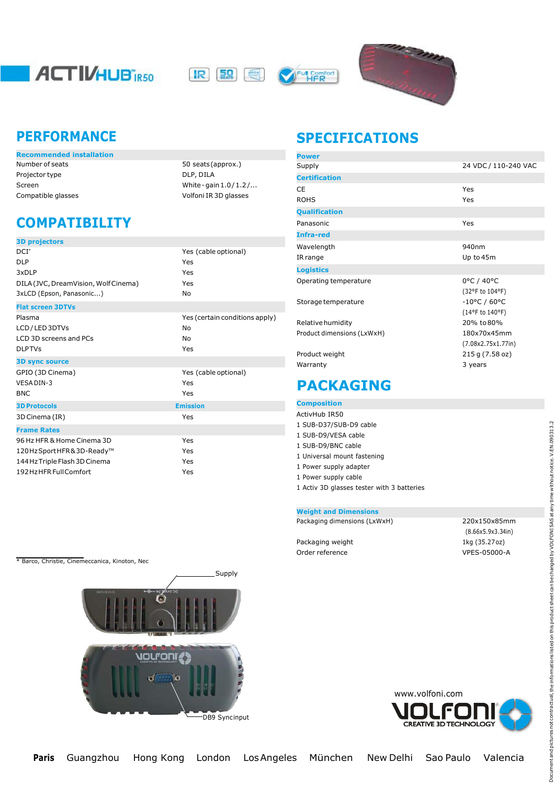

**IR SQ** white.





| <b>Recommended installation</b> |                         | Power          |
|---------------------------------|-------------------------|----------------|
| Number of seats                 | 50 seats (approx.)      | Supply         |
| Projector type                  | DLP, DILA               | <b>Certifi</b> |
| Screen                          | White - gain $1.0/1.2/$ |                |

50 seats (approx.) DLP, DILA White-gain $1.0/1.2/...$ Compatible glasses Volfoni IR 3D glasses

# **COMPATIBILITY**

| Yes (cable optional)           |
|--------------------------------|
| Yes                            |
| Yes                            |
| Yes                            |
| <b>No</b>                      |
|                                |
| Yes (certain conditions apply) |
| No                             |
| No                             |
| Yes                            |
|                                |
| Yes (cable optional)           |
| Yes                            |
| Yes                            |
| <b>Emission</b>                |
| Yes                            |
|                                |
| Yes                            |
| Yes                            |
| Yes                            |
| Yes                            |
|                                |

# **PERFORMANCE SPECIFICATIONS**

| <b>Power</b>               |                        |
|----------------------------|------------------------|
| Supply                     | 24 VDC / 110-240 VAC   |
| <b>Certification</b>       |                        |
| СE                         | Yes                    |
| <b>ROHS</b>                | Yes                    |
| <b>Qualification</b>       |                        |
| Panasonic                  | Yes                    |
| Infra-red                  |                        |
| Wavelength                 | 940nm                  |
| IR range                   | Up to 45m              |
| <b>Logistics</b>           |                        |
| Operating temperature      | 0°C / 40°C             |
|                            | (32°F to 104°F)        |
| Storage temperature        | $-10^{\circ}$ C / 60°C |
|                            | (14°F to 140°F)        |
| Relative humidity          | 20% to 80%             |
| Product dimensions (LxWxH) | 180x70x45mm            |
|                            | (7.08x2.75x1.77in)     |
| Product weight             | 215 g (7.58 oz)        |
| Warranty                   | 3 years                |
|                            |                        |

## **PACKAGING**

**Composition**

| ActivHub IR50                              |
|--------------------------------------------|
| 1 SUB-D37/SUB-D9 cable                     |
| 1 SUB-D9/VESA cable                        |
| 1 SUB-D9/BNC cable                         |
| 1 Universal mount fastening                |
| 1 Power supply adapter                     |
| 1 Power supply cable                       |
| 1 Activ 3D glasses tester with 3 batteries |

#### **Weight and Dimensions**

| Packaging dimensions (LxWxH) |  |
|------------------------------|--|
|------------------------------|--|

Packaging weight 1kg (35.27oz) Order reference VPES-05000-A

\* Barco, Christie, Cinemeccanica, Kinoton, Nec